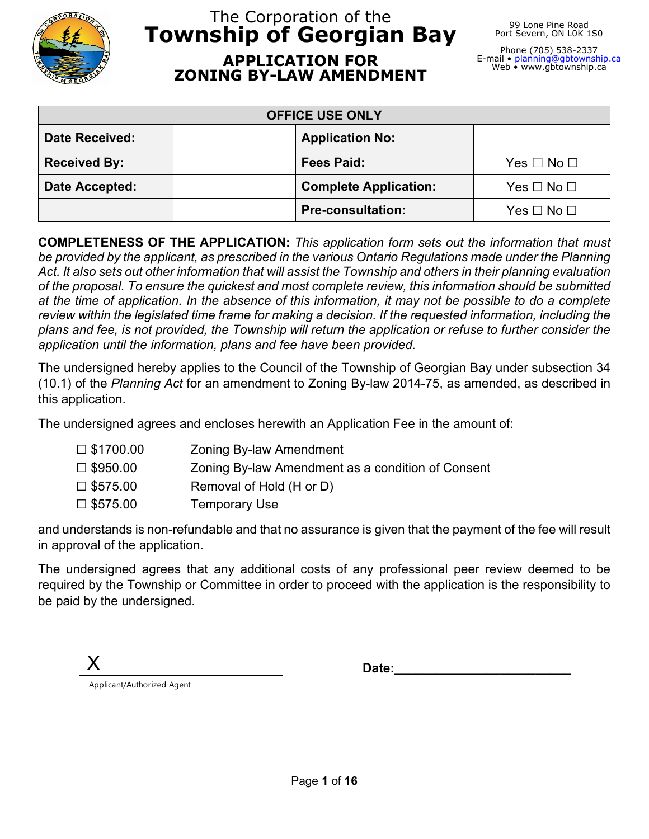

# The Corporation of the **Township of Georgian Bay APPLICATION FOR ZONING BY-LAW AMENDMENT**

99 Lone Pine Road Port Severn, ON LOK 1S0

Phone (705) 538-2337 E-mail • <u>planning@gbtownship.ca</u><br>Web • www.gbtownship.ca

| <b>OFFICE USE ONLY</b> |                              |                      |
|------------------------|------------------------------|----------------------|
| <b>Date Received:</b>  | <b>Application No:</b>       |                      |
| <b>Received By:</b>    | <b>Fees Paid:</b>            | $Yes \Box No \Box$   |
| Date Accepted:         | <b>Complete Application:</b> | Yes $\Box$ No $\Box$ |
|                        | <b>Pre-consultation:</b>     | Yes $\Box$ No $\Box$ |

**COMPLETENESS OF THE APPLICATION:** *This application form sets out the information that must be provided by the applicant, as prescribed in the various Ontario Regulations made under the Planning Act. It also sets out other information that will assist the Township and others in their planning evaluation of the proposal. To ensure the quickest and most complete review, this information should be submitted at the time of application. In the absence of this information, it may not be possible to do a complete review within the legislated time frame for making a decision. If the requested information, including the plans and fee, is not provided, the Township will return the application or refuse to further consider the application until the information, plans and fee have been provided.*

The undersigned hereby applies to the Council of the Township of Georgian Bay under subsection 34 (10.1) of the *Planning Act* for an amendment to Zoning By-law 2014-75, as amended, as described in this application.

The undersigned agrees and encloses herewith an Application Fee in the amount of:

| $\square$ \$1700.00 | <b>Zoning By-law Amendment</b>                    |
|---------------------|---------------------------------------------------|
| $\square$ \$950.00  | Zoning By-law Amendment as a condition of Consent |
| $\square$ \$575.00  | Removal of Hold (H or D)                          |
| $\square$ \$575.00  | <b>Temporary Use</b>                              |

and understands is non-refundable and that no assurance is given that the payment of the fee will result in approval of the application.

The undersigned agrees that any additional costs of any professional peer review deemed to be required by the Township or Committee in order to proceed with the application is the responsibility to be paid by the undersigned.

X Applicant/Authorized Agent

Date: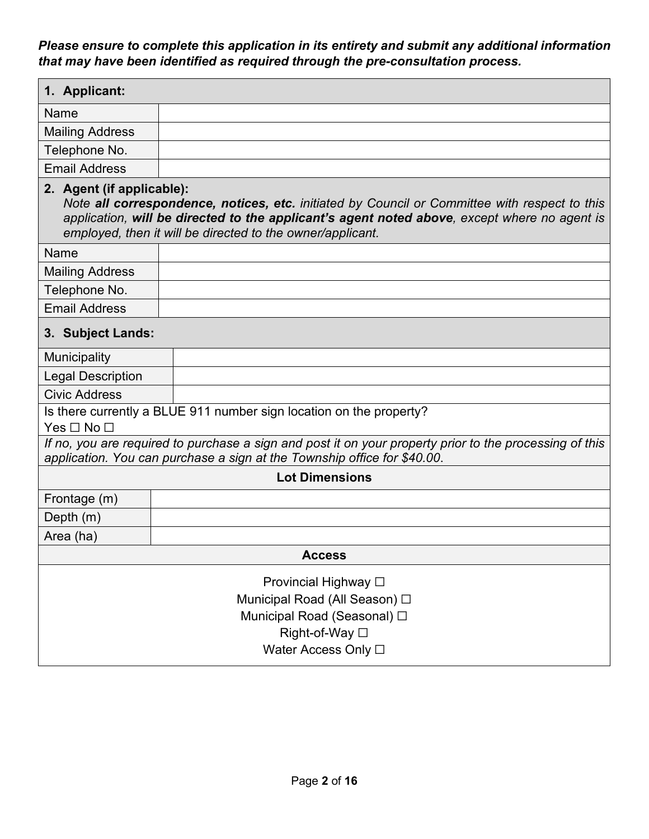*Please ensure to complete this application in its entirety and submit any additional information that may have been identified as required through the pre-consultation process.*

| 1. Applicant:                                                                                                                                                                                                                                                                            |                                                                                                                                                                                     |  |  |
|------------------------------------------------------------------------------------------------------------------------------------------------------------------------------------------------------------------------------------------------------------------------------------------|-------------------------------------------------------------------------------------------------------------------------------------------------------------------------------------|--|--|
| Name                                                                                                                                                                                                                                                                                     |                                                                                                                                                                                     |  |  |
| <b>Mailing Address</b>                                                                                                                                                                                                                                                                   |                                                                                                                                                                                     |  |  |
| Telephone No.                                                                                                                                                                                                                                                                            |                                                                                                                                                                                     |  |  |
| <b>Email Address</b>                                                                                                                                                                                                                                                                     |                                                                                                                                                                                     |  |  |
| 2. Agent (if applicable):<br>Note all correspondence, notices, etc. initiated by Council or Committee with respect to this<br>application, will be directed to the applicant's agent noted above, except where no agent is<br>employed, then it will be directed to the owner/applicant. |                                                                                                                                                                                     |  |  |
| Name                                                                                                                                                                                                                                                                                     |                                                                                                                                                                                     |  |  |
| <b>Mailing Address</b>                                                                                                                                                                                                                                                                   |                                                                                                                                                                                     |  |  |
| Telephone No.                                                                                                                                                                                                                                                                            |                                                                                                                                                                                     |  |  |
| <b>Email Address</b>                                                                                                                                                                                                                                                                     |                                                                                                                                                                                     |  |  |
| 3. Subject Lands:                                                                                                                                                                                                                                                                        |                                                                                                                                                                                     |  |  |
| <b>Municipality</b>                                                                                                                                                                                                                                                                      |                                                                                                                                                                                     |  |  |
| <b>Legal Description</b>                                                                                                                                                                                                                                                                 |                                                                                                                                                                                     |  |  |
| <b>Civic Address</b>                                                                                                                                                                                                                                                                     |                                                                                                                                                                                     |  |  |
|                                                                                                                                                                                                                                                                                          | Is there currently a BLUE 911 number sign location on the property?                                                                                                                 |  |  |
| $Yes \Box No \Box$                                                                                                                                                                                                                                                                       |                                                                                                                                                                                     |  |  |
|                                                                                                                                                                                                                                                                                          | If no, you are required to purchase a sign and post it on your property prior to the processing of this<br>application. You can purchase a sign at the Township office for \$40.00. |  |  |
|                                                                                                                                                                                                                                                                                          | <b>Lot Dimensions</b>                                                                                                                                                               |  |  |
| Frontage (m)                                                                                                                                                                                                                                                                             |                                                                                                                                                                                     |  |  |
| Depth (m)                                                                                                                                                                                                                                                                                |                                                                                                                                                                                     |  |  |
| Area (ha)                                                                                                                                                                                                                                                                                |                                                                                                                                                                                     |  |  |
| <b>Access</b>                                                                                                                                                                                                                                                                            |                                                                                                                                                                                     |  |  |
| Provincial Highway □<br>Municipal Road (All Season) □<br>Municipal Road (Seasonal) □<br>Right-of-Way □<br>Water Access Only □                                                                                                                                                            |                                                                                                                                                                                     |  |  |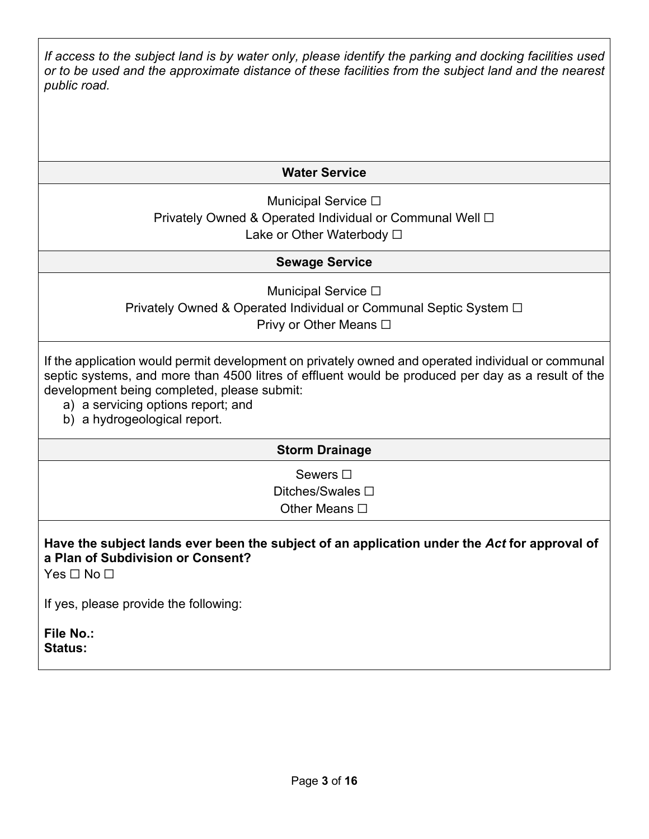*If access to the subject land is by water only, please identify the parking and docking facilities used or to be used and the approximate distance of these facilities from the subject land and the nearest public road.*

### **Water Service**

Municipal Service **□** Privately Owned & Operated Individual or Communal Well □ Lake or Other Waterbody □

#### **Sewage Service**

Municipal Service **□** Privately Owned & Operated Individual or Communal Septic System □ Privy or Other Means **□** 

If the application would permit development on privately owned and operated individual or communal septic systems, and more than 4500 litres of effluent would be produced per day as a result of the development being completed, please submit:

- a) a servicing options report; and
- b) a hydrogeological report.

#### **Storm Drainage**

Sewers  $□$ 

Ditches/Swales **□** Other Means **□** 

# **Have the subject lands ever been the subject of an application under the** *Act* **for approval of a Plan of Subdivision or Consent?**

Yes □ No □

If yes, please provide the following:

**File No.: Status:**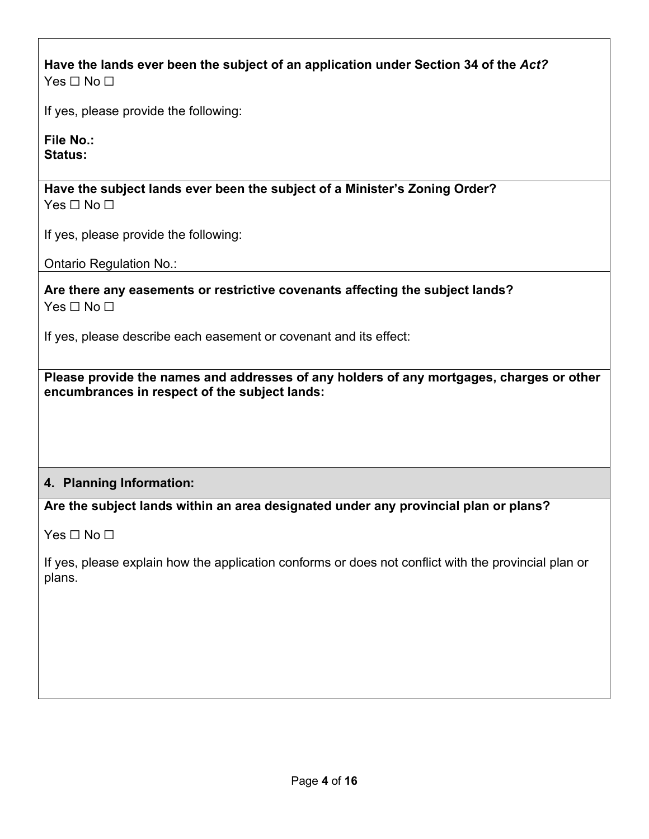**Have the lands ever been the subject of an application under Section 34 of the** *Act?*  $Yes \sqcap No \sqcap$ 

If yes, please provide the following:

**File No.: Status:** 

**Have the subject lands ever been the subject of a Minister's Zoning Order?** Yes □ No □

If yes, please provide the following:

Ontario Regulation No.:

**Are there any easements or restrictive covenants affecting the subject lands?** Yes □ No □

If yes, please describe each easement or covenant and its effect:

**Please provide the names and addresses of any holders of any mortgages, charges or other encumbrances in respect of the subject lands:**

### **4. Planning Information:**

**Are the subject lands within an area designated under any provincial plan or plans?**

 $Yes \Box No \Box$ 

If yes, please explain how the application conforms or does not conflict with the provincial plan or plans.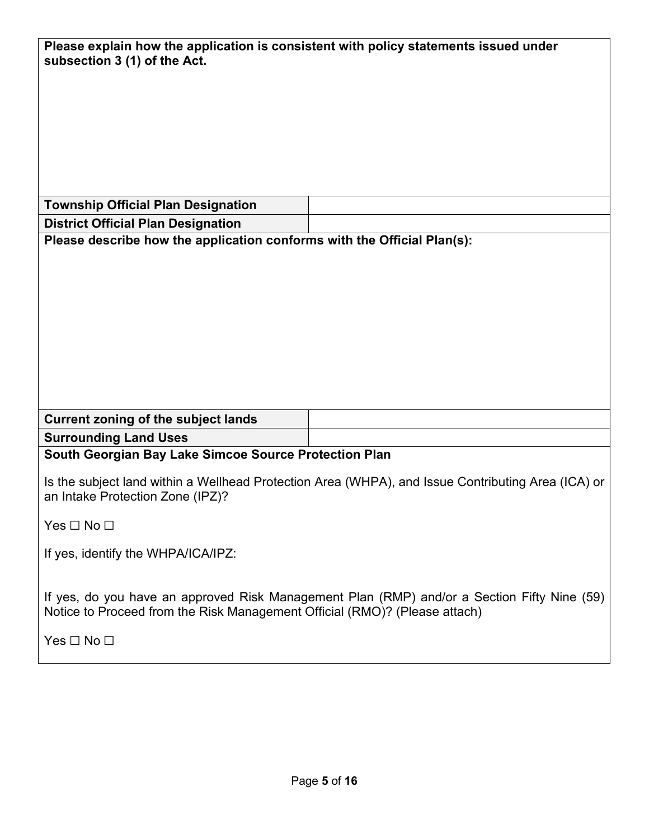| Please explain how the application is consistent with policy statements issued under<br>subsection 3 (1) of the Act.                                                      |  |
|---------------------------------------------------------------------------------------------------------------------------------------------------------------------------|--|
|                                                                                                                                                                           |  |
|                                                                                                                                                                           |  |
| <b>Township Official Plan Designation</b>                                                                                                                                 |  |
| <b>District Official Plan Designation</b>                                                                                                                                 |  |
| Please describe how the application conforms with the Official Plan(s):                                                                                                   |  |
|                                                                                                                                                                           |  |
|                                                                                                                                                                           |  |
|                                                                                                                                                                           |  |
| <b>Current zoning of the subject lands</b>                                                                                                                                |  |
| <b>Surrounding Land Uses</b>                                                                                                                                              |  |
| South Georgian Bay Lake Simcoe Source Protection Plan                                                                                                                     |  |
| Is the subject land within a Wellhead Protection Area (WHPA), and Issue Contributing Area (ICA) or<br>an Intake Protection Zone (IPZ)?                                    |  |
| Yes $\Box$ No $\Box$                                                                                                                                                      |  |
| If yes, identify the WHPA/ICA/IPZ:                                                                                                                                        |  |
| If yes, do you have an approved Risk Management Plan (RMP) and/or a Section Fifty Nine (59)<br>Notice to Proceed from the Risk Management Official (RMO)? (Please attach) |  |
| Yes $\Box$ No $\Box$                                                                                                                                                      |  |
|                                                                                                                                                                           |  |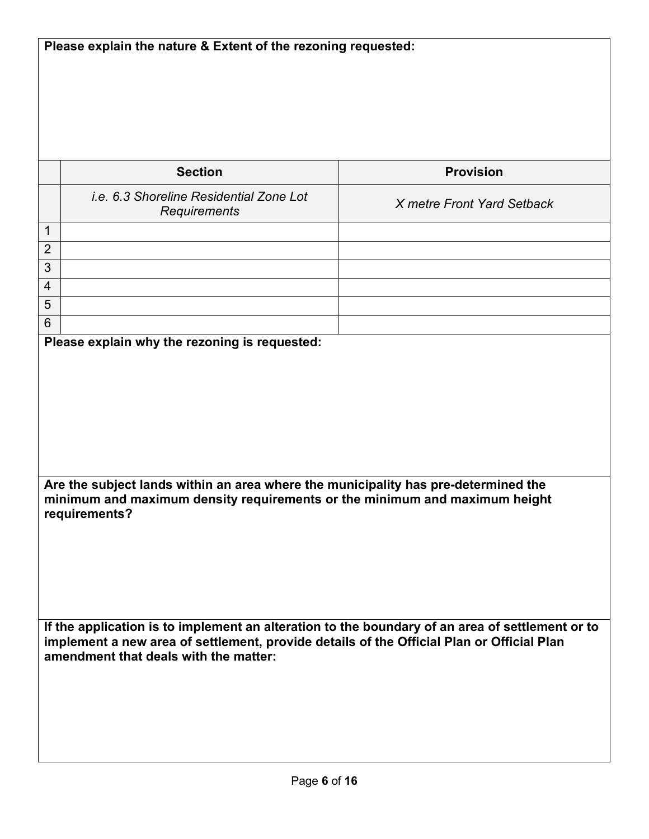**Please explain the nature & Extent of the rezoning requested: Section Provision** *i.e. 6.3 Shoreline Residential Zone Lot Requirements X metre Front Yard Setback* 1 2 3 4 5 6 **Please explain why the rezoning is requested: Are the subject lands within an area where the municipality has pre-determined the minimum and maximum density requirements or the minimum and maximum height requirements? If the application is to implement an alteration to the boundary of an area of settlement or to implement a new area of settlement, provide details of the Official Plan or Official Plan amendment that deals with the matter:**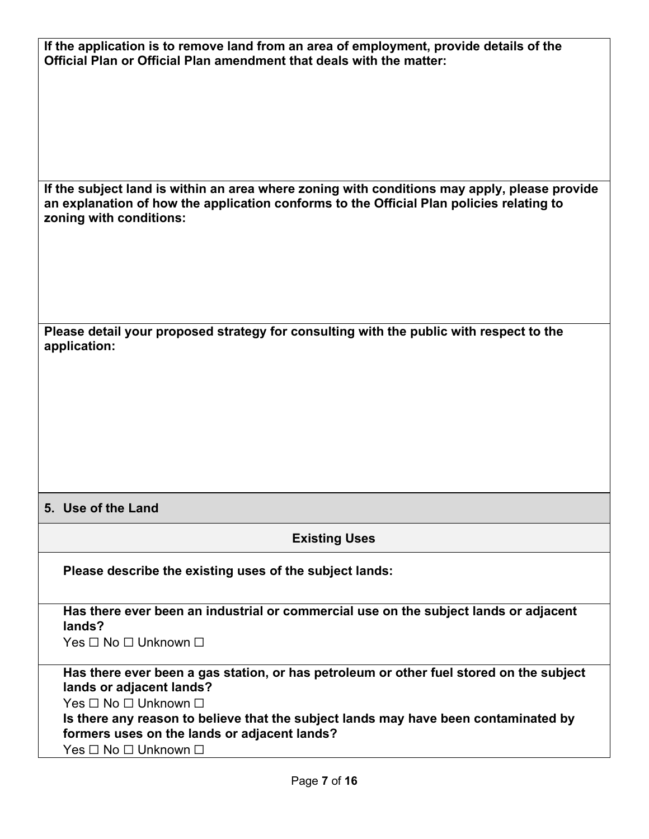| If the application is to remove land from an area of employment, provide details of the<br>Official Plan or Official Plan amendment that deals with the matter:<br>If the subject land is within an area where zoning with conditions may apply, please provide<br>an explanation of how the application conforms to the Official Plan policies relating to<br>zoning with conditions:<br>Please detail your proposed strategy for consulting with the public with respect to the<br>application:<br>5. Use of the Land<br><b>Existing Uses</b><br>Please describe the existing uses of the subject lands:<br>Has there ever been an industrial or commercial use on the subject lands or adjacent<br>lands?<br>Yes □ No □ Unknown □<br>Has there ever been a gas station, or has petroleum or other fuel stored on the subject<br>lands or adjacent lands?<br>Yes □ No □ Unknown □<br>Is there any reason to believe that the subject lands may have been contaminated by<br>formers uses on the lands or adjacent lands?<br>Yes □ No □ Unknown □ |  |
|----------------------------------------------------------------------------------------------------------------------------------------------------------------------------------------------------------------------------------------------------------------------------------------------------------------------------------------------------------------------------------------------------------------------------------------------------------------------------------------------------------------------------------------------------------------------------------------------------------------------------------------------------------------------------------------------------------------------------------------------------------------------------------------------------------------------------------------------------------------------------------------------------------------------------------------------------------------------------------------------------------------------------------------------------|--|
|                                                                                                                                                                                                                                                                                                                                                                                                                                                                                                                                                                                                                                                                                                                                                                                                                                                                                                                                                                                                                                                    |  |
|                                                                                                                                                                                                                                                                                                                                                                                                                                                                                                                                                                                                                                                                                                                                                                                                                                                                                                                                                                                                                                                    |  |
|                                                                                                                                                                                                                                                                                                                                                                                                                                                                                                                                                                                                                                                                                                                                                                                                                                                                                                                                                                                                                                                    |  |
|                                                                                                                                                                                                                                                                                                                                                                                                                                                                                                                                                                                                                                                                                                                                                                                                                                                                                                                                                                                                                                                    |  |
|                                                                                                                                                                                                                                                                                                                                                                                                                                                                                                                                                                                                                                                                                                                                                                                                                                                                                                                                                                                                                                                    |  |
|                                                                                                                                                                                                                                                                                                                                                                                                                                                                                                                                                                                                                                                                                                                                                                                                                                                                                                                                                                                                                                                    |  |
|                                                                                                                                                                                                                                                                                                                                                                                                                                                                                                                                                                                                                                                                                                                                                                                                                                                                                                                                                                                                                                                    |  |
|                                                                                                                                                                                                                                                                                                                                                                                                                                                                                                                                                                                                                                                                                                                                                                                                                                                                                                                                                                                                                                                    |  |
|                                                                                                                                                                                                                                                                                                                                                                                                                                                                                                                                                                                                                                                                                                                                                                                                                                                                                                                                                                                                                                                    |  |
|                                                                                                                                                                                                                                                                                                                                                                                                                                                                                                                                                                                                                                                                                                                                                                                                                                                                                                                                                                                                                                                    |  |
|                                                                                                                                                                                                                                                                                                                                                                                                                                                                                                                                                                                                                                                                                                                                                                                                                                                                                                                                                                                                                                                    |  |
|                                                                                                                                                                                                                                                                                                                                                                                                                                                                                                                                                                                                                                                                                                                                                                                                                                                                                                                                                                                                                                                    |  |
|                                                                                                                                                                                                                                                                                                                                                                                                                                                                                                                                                                                                                                                                                                                                                                                                                                                                                                                                                                                                                                                    |  |
|                                                                                                                                                                                                                                                                                                                                                                                                                                                                                                                                                                                                                                                                                                                                                                                                                                                                                                                                                                                                                                                    |  |
|                                                                                                                                                                                                                                                                                                                                                                                                                                                                                                                                                                                                                                                                                                                                                                                                                                                                                                                                                                                                                                                    |  |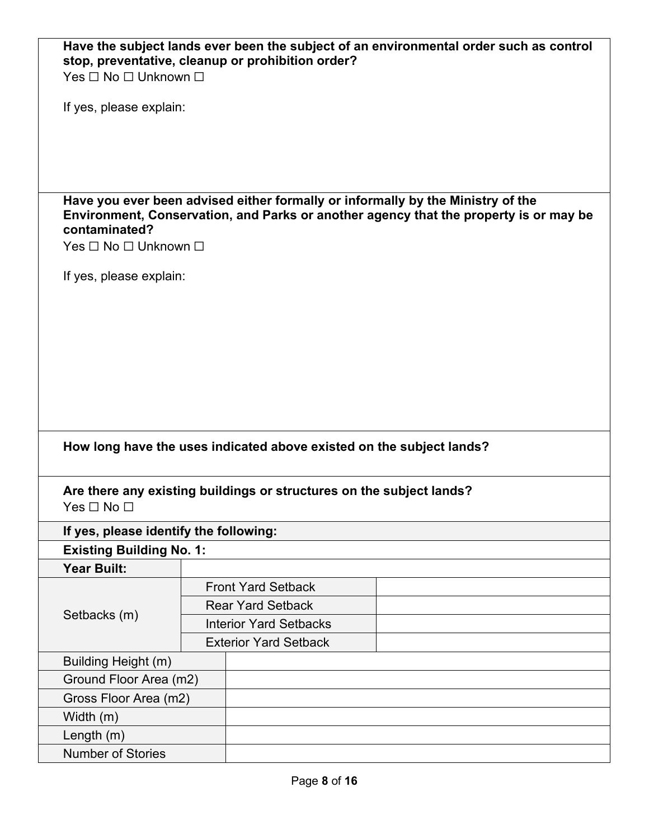| Yes □ No □ Unknown □                                  |                                                                      |                                                                                                                                                                          |
|-------------------------------------------------------|----------------------------------------------------------------------|--------------------------------------------------------------------------------------------------------------------------------------------------------------------------|
| If yes, please explain:                               |                                                                      |                                                                                                                                                                          |
|                                                       |                                                                      |                                                                                                                                                                          |
| contaminated?<br>Yes □ No □ Unknown □                 |                                                                      | Have you ever been advised either formally or informally by the Ministry of the<br>Environment, Conservation, and Parks or another agency that the property is or may be |
| If yes, please explain:                               |                                                                      |                                                                                                                                                                          |
|                                                       |                                                                      |                                                                                                                                                                          |
|                                                       |                                                                      |                                                                                                                                                                          |
|                                                       |                                                                      |                                                                                                                                                                          |
|                                                       |                                                                      |                                                                                                                                                                          |
|                                                       |                                                                      |                                                                                                                                                                          |
|                                                       |                                                                      |                                                                                                                                                                          |
|                                                       |                                                                      |                                                                                                                                                                          |
|                                                       |                                                                      |                                                                                                                                                                          |
|                                                       |                                                                      |                                                                                                                                                                          |
|                                                       |                                                                      |                                                                                                                                                                          |
|                                                       |                                                                      | How long have the uses indicated above existed on the subject lands?                                                                                                     |
|                                                       |                                                                      |                                                                                                                                                                          |
|                                                       | Are there any existing buildings or structures on the subject lands? |                                                                                                                                                                          |
| Yes ⊟ No ⊟                                            |                                                                      |                                                                                                                                                                          |
| If yes, please identify the following:                |                                                                      |                                                                                                                                                                          |
|                                                       |                                                                      |                                                                                                                                                                          |
| <b>Existing Building No. 1:</b><br><b>Year Built:</b> |                                                                      |                                                                                                                                                                          |
|                                                       | <b>Front Yard Setback</b>                                            |                                                                                                                                                                          |
|                                                       |                                                                      |                                                                                                                                                                          |
| Setbacks (m)                                          | <b>Rear Yard Setback</b>                                             |                                                                                                                                                                          |
|                                                       | <b>Interior Yard Setbacks</b>                                        |                                                                                                                                                                          |
|                                                       | <b>Exterior Yard Setback</b>                                         |                                                                                                                                                                          |
| Building Height (m)                                   |                                                                      |                                                                                                                                                                          |
| Ground Floor Area (m2)                                |                                                                      |                                                                                                                                                                          |
| Gross Floor Area (m2)                                 |                                                                      |                                                                                                                                                                          |
| Width (m)                                             |                                                                      |                                                                                                                                                                          |
| Length $(m)$                                          |                                                                      |                                                                                                                                                                          |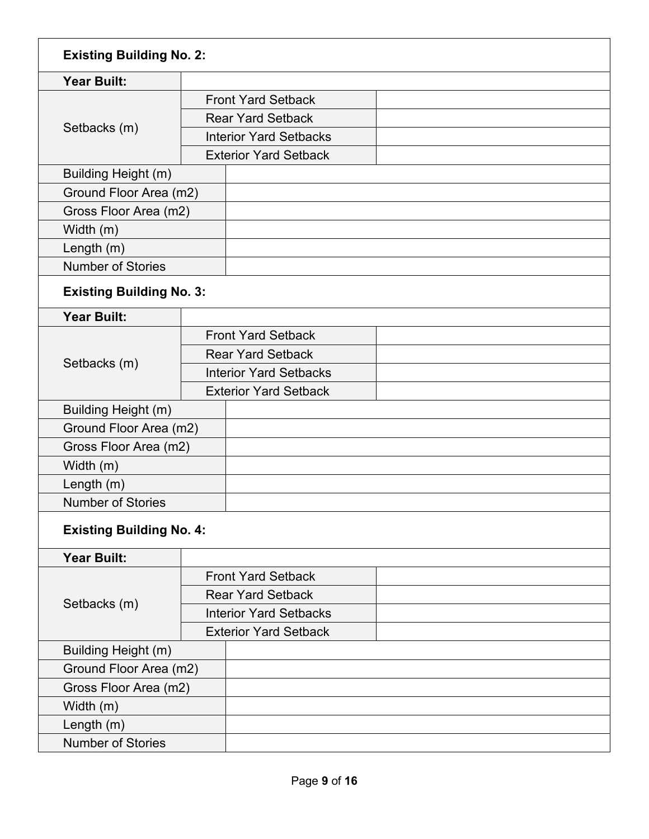| <b>Existing Building No. 2:</b> |                               |                              |  |
|---------------------------------|-------------------------------|------------------------------|--|
| <b>Year Built:</b>              |                               |                              |  |
|                                 |                               | <b>Front Yard Setback</b>    |  |
|                                 | <b>Rear Yard Setback</b>      |                              |  |
| Setbacks (m)                    | <b>Interior Yard Setbacks</b> |                              |  |
|                                 |                               | <b>Exterior Yard Setback</b> |  |
| Building Height (m)             |                               |                              |  |
| Ground Floor Area (m2)          |                               |                              |  |
| Gross Floor Area (m2)           |                               |                              |  |
| Width (m)                       |                               |                              |  |
| Length $(m)$                    |                               |                              |  |
| <b>Number of Stories</b>        |                               |                              |  |
| <b>Existing Building No. 3:</b> |                               |                              |  |
| <b>Year Built:</b>              |                               |                              |  |
|                                 |                               | <b>Front Yard Setback</b>    |  |
|                                 |                               | <b>Rear Yard Setback</b>     |  |
| Setbacks (m)                    | <b>Interior Yard Setbacks</b> |                              |  |
|                                 |                               | <b>Exterior Yard Setback</b> |  |
| Building Height (m)             |                               |                              |  |
| Ground Floor Area (m2)          |                               |                              |  |
| Gross Floor Area (m2)           |                               |                              |  |
| Width (m)                       |                               |                              |  |
| Length $(m)$                    |                               |                              |  |
| <b>Number of Stories</b>        |                               |                              |  |
| <b>Existing Building No. 4:</b> |                               |                              |  |
| <b>Year Built:</b>              |                               |                              |  |
|                                 |                               | <b>Front Yard Setback</b>    |  |
|                                 | <b>Rear Yard Setback</b>      |                              |  |
| Setbacks (m)                    | <b>Interior Yard Setbacks</b> |                              |  |
|                                 | <b>Exterior Yard Setback</b>  |                              |  |
| Building Height (m)             |                               |                              |  |
| Ground Floor Area (m2)          |                               |                              |  |
| Gross Floor Area (m2)           |                               |                              |  |
| Width (m)                       |                               |                              |  |
| Length (m)                      |                               |                              |  |
| <b>Number of Stories</b>        |                               |                              |  |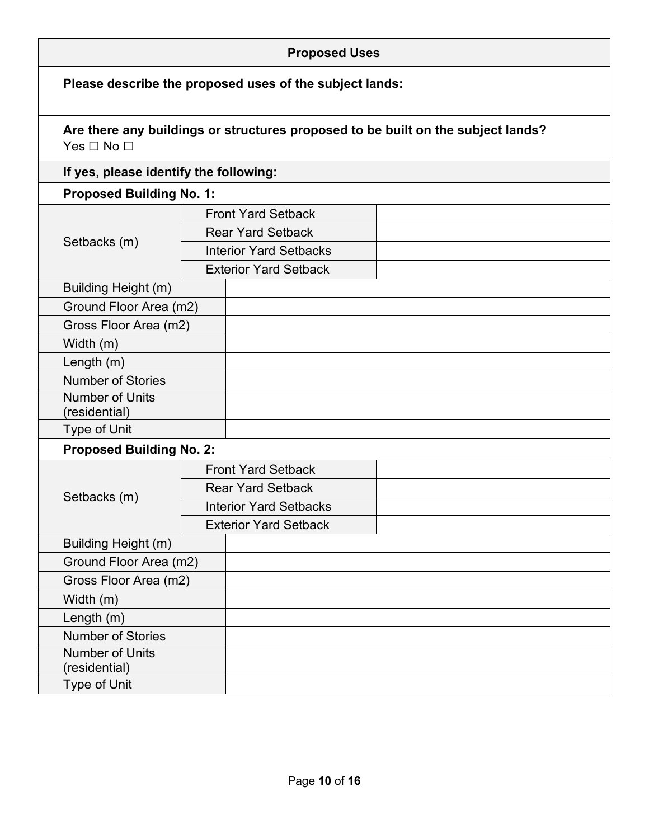| <b>Proposed Uses</b>                                    |  |                               |                                                                                  |
|---------------------------------------------------------|--|-------------------------------|----------------------------------------------------------------------------------|
| Please describe the proposed uses of the subject lands: |  |                               |                                                                                  |
| Yes $\Box$ No $\Box$                                    |  |                               | Are there any buildings or structures proposed to be built on the subject lands? |
| If yes, please identify the following:                  |  |                               |                                                                                  |
| <b>Proposed Building No. 1:</b>                         |  |                               |                                                                                  |
|                                                         |  | <b>Front Yard Setback</b>     |                                                                                  |
|                                                         |  | <b>Rear Yard Setback</b>      |                                                                                  |
| Setbacks (m)                                            |  | <b>Interior Yard Setbacks</b> |                                                                                  |
|                                                         |  | <b>Exterior Yard Setback</b>  |                                                                                  |
| Building Height (m)                                     |  |                               |                                                                                  |
| Ground Floor Area (m2)                                  |  |                               |                                                                                  |
| Gross Floor Area (m2)                                   |  |                               |                                                                                  |
| Width (m)                                               |  |                               |                                                                                  |
| Length (m)                                              |  |                               |                                                                                  |
| <b>Number of Stories</b>                                |  |                               |                                                                                  |
| <b>Number of Units</b><br>(residential)                 |  |                               |                                                                                  |
| Type of Unit                                            |  |                               |                                                                                  |
| <b>Proposed Building No. 2:</b>                         |  |                               |                                                                                  |
|                                                         |  | <b>Front Yard Setback</b>     |                                                                                  |
|                                                         |  | <b>Rear Yard Setback</b>      |                                                                                  |
| Setbacks (m)                                            |  | <b>Interior Yard Setbacks</b> |                                                                                  |
|                                                         |  | <b>Exterior Yard Setback</b>  |                                                                                  |
| Building Height (m)                                     |  |                               |                                                                                  |
| Ground Floor Area (m2)                                  |  |                               |                                                                                  |
| Gross Floor Area (m2)                                   |  |                               |                                                                                  |
| Width (m)                                               |  |                               |                                                                                  |
| Length (m)                                              |  |                               |                                                                                  |
| <b>Number of Stories</b>                                |  |                               |                                                                                  |
| <b>Number of Units</b><br>(residential)                 |  |                               |                                                                                  |
| Type of Unit                                            |  |                               |                                                                                  |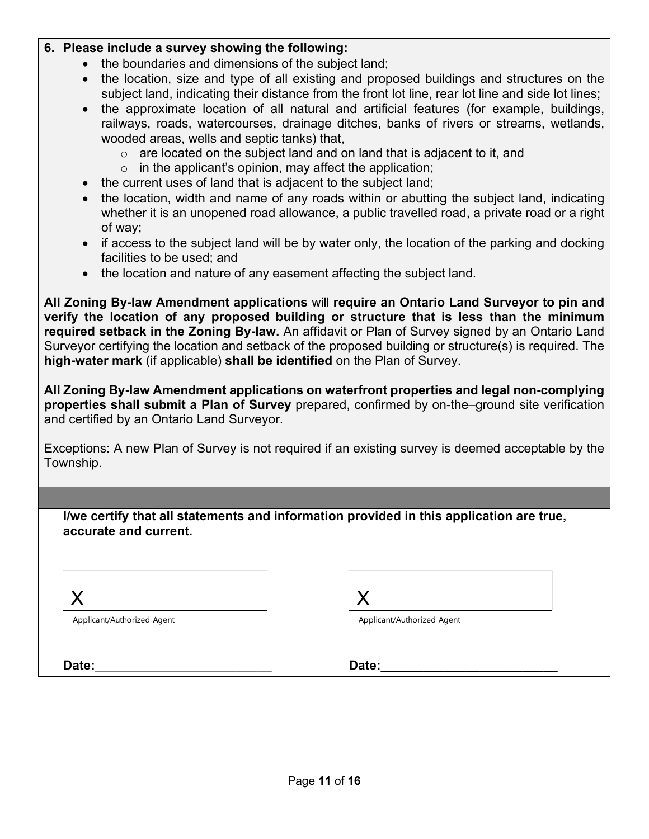#### **6. Please include a survey showing the following:**

- the boundaries and dimensions of the subject land;
- the location, size and type of all existing and proposed buildings and structures on the subject land, indicating their distance from the front lot line, rear lot line and side lot lines;
- the approximate location of all natural and artificial features (for example, buildings, railways, roads, watercourses, drainage ditches, banks of rivers or streams, wetlands, wooded areas, wells and septic tanks) that,
	- $\circ$  are located on the subject land and on land that is adjacent to it, and
	- $\circ$  in the applicant's opinion, may affect the application;
- the current uses of land that is adjacent to the subject land;
- the location, width and name of any roads within or abutting the subject land, indicating whether it is an unopened road allowance, a public travelled road, a private road or a right of way;
- if access to the subject land will be by water only, the location of the parking and docking facilities to be used; and
- the location and nature of any easement affecting the subject land.

**All Zoning By-law Amendment applications** will **require an Ontario Land Surveyor to pin and verify the location of any proposed building or structure that is less than the minimum required setback in the Zoning By-law.** An affidavit or Plan of Survey signed by an Ontario Land Surveyor certifying the location and setback of the proposed building or structure(s) is required. The **high-water mark** (if applicable) **shall be identified** on the Plan of Survey.

**All Zoning By-law Amendment applications on waterfront properties and legal non-complying properties shall submit a Plan of Survey** prepared, confirmed by on-the–ground site verification and certified by an Ontario Land Surveyor.

Exceptions: A new Plan of Survey is not required if an existing survey is deemed acceptable by the Township.

| I/we certify that all statements and information provided in this application are true, |  |
|-----------------------------------------------------------------------------------------|--|
| accurate and current.                                                                   |  |

X

Applicant/Authorized Agent

Applicant/Authorized Agent

**Date:\_\_\_\_\_\_\_\_\_\_\_\_\_\_\_\_\_\_\_\_\_\_\_\_\_ Date:\_\_\_\_\_\_\_\_\_\_\_\_\_\_\_\_\_\_\_\_\_\_\_\_\_**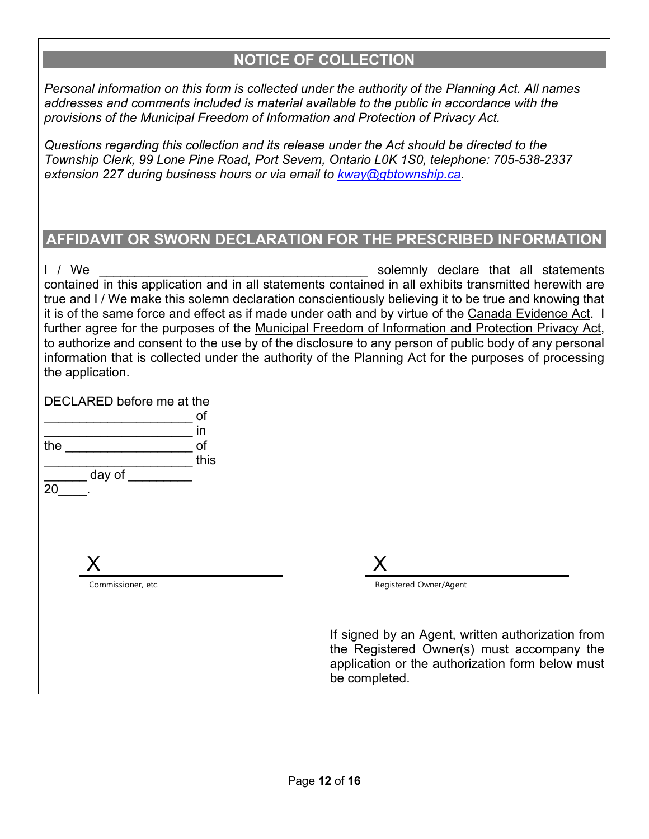## **NOTICE OF COLLECTION**

*Personal information on this form is collected under the authority of the Planning Act. All names addresses and comments included is material available to the public in accordance with the provisions of the Municipal Freedom of Information and Protection of Privacy Act.* 

*Questions regarding this collection and its release under the Act should be directed to the Township Clerk, 99 Lone Pine Road, Port Severn, Ontario L0K 1S0, telephone: 705-538-2337 extension 227 during business hours or via email to [kway@gbtownship.ca.](mailto:kway@gbtownship.ca)* 

## **AFFIDAVIT OR SWORN DECLARATION FOR THE PRESCRIBED INFORMATION**

I / We **EXECUTE:** The solemnly declare that all statements contained in this application and in all statements contained in all exhibits transmitted herewith are true and I / We make this solemn declaration conscientiously believing it to be true and knowing that it is of the same force and effect as if made under oath and by virtue of the Canada Evidence Act. I further agree for the purposes of the Municipal Freedom of Information and Protection Privacy Act, to authorize and consent to the use by of the disclosure to any person of public body of any personal information that is collected under the authority of the Planning Act for the purposes of processing the application.

DECLARED before me at the

|     |                    | of   |
|-----|--------------------|------|
|     |                    | in   |
| the |                    | of   |
|     |                    | this |
|     | day of             |      |
| 20  |                    |      |
|     |                    |      |
|     |                    |      |
|     |                    |      |
|     |                    |      |
|     | X                  |      |
|     | Commissioner, etc. |      |
|     |                    |      |
|     |                    |      |
|     |                    |      |
|     |                    |      |

Registered Owner/Agent

If signed by an Agent, written authorization from the Registered Owner(s) must accompany the application or the authorization form below must be completed.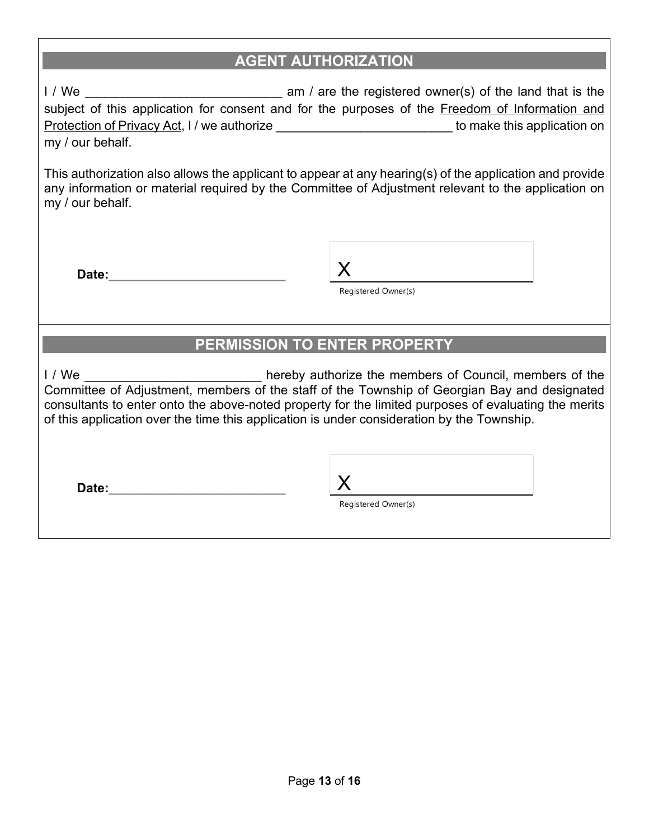## **AGENT AUTHORIZATION**

I / We \_\_\_\_\_\_\_\_\_\_\_\_\_\_\_\_\_\_\_\_\_\_\_\_\_\_\_\_\_\_\_\_\_\_ am / are the registered owner(s) of the land that is the subject of this application for consent and for the purposes of the Freedom of Information and Protection of Privacy Act, I / we authorize \_\_\_\_\_\_\_\_\_\_\_\_\_\_\_\_\_\_\_\_\_\_\_\_\_\_\_\_\_\_\_ to make this application on my / our behalf.

This authorization also allows the applicant to appear at any hearing(s) of the application and provide any information or material required by the Committee of Adjustment relevant to the application on my / our behalf.

**Date:** 

Registered Owner(s)

# **PERMISSION TO ENTER PROPERTY**

I / We **I** and the members of Council, members of the Committee of Adjustment, members of the staff of the Township of Georgian Bay and designated consultants to enter onto the above-noted property for the limited purposes of evaluating the merits of this application over the time this application is under consideration by the Township.

**Date:** 

Registered Owner(s)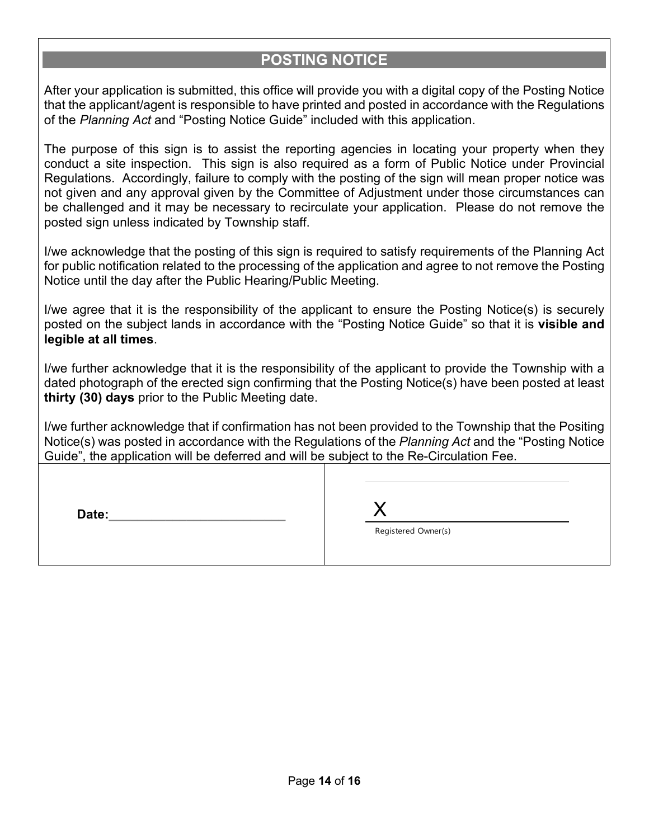### **POSTING NOTICE**

After your application is submitted, this office will provide you with a digital copy of the Posting Notice that the applicant/agent is responsible to have printed and posted in accordance with the Regulations of the *Planning Act* and "Posting Notice Guide" included with this application.

The purpose of this sign is to assist the reporting agencies in locating your property when they conduct a site inspection. This sign is also required as a form of Public Notice under Provincial Regulations. Accordingly, failure to comply with the posting of the sign will mean proper notice was not given and any approval given by the Committee of Adjustment under those circumstances can be challenged and it may be necessary to recirculate your application. Please do not remove the posted sign unless indicated by Township staff.

I/we acknowledge that the posting of this sign is required to satisfy requirements of the Planning Act for public notification related to the processing of the application and agree to not remove the Posting Notice until the day after the Public Hearing/Public Meeting.

I/we agree that it is the responsibility of the applicant to ensure the Posting Notice(s) is securely posted on the subject lands in accordance with the "Posting Notice Guide" so that it is **visible and legible at all times**.

I/we further acknowledge that it is the responsibility of the applicant to provide the Township with a dated photograph of the erected sign confirming that the Posting Notice(s) have been posted at least **thirty (30) days** prior to the Public Meeting date.

I/we further acknowledge that if confirmation has not been provided to the Township that the Positing Notice(s) was posted in accordance with the Regulations of the *Planning Act* and the "Posting Notice Guide", the application will be deferred and will be subject to the Re-Circulation Fee.

| Date: |                     |
|-------|---------------------|
|       | Registered Owner(s) |
|       |                     |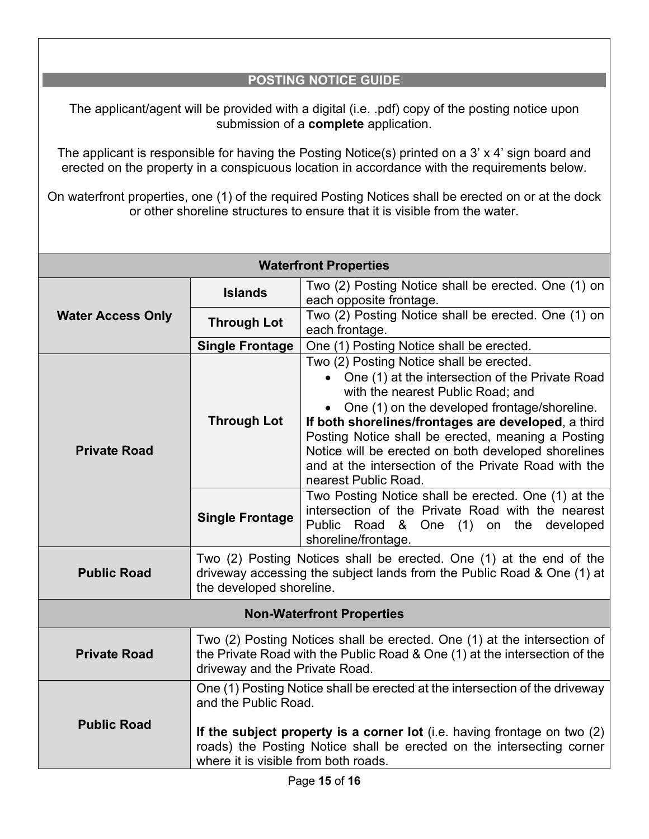### **POSTING NOTICE GUIDE**

The applicant/agent will be provided with a digital (i.e. .pdf) copy of the posting notice upon submission of a **complete** application.

The applicant is responsible for having the Posting Notice(s) printed on a 3' x 4' sign board and erected on the property in a conspicuous location in accordance with the requirements below.

On waterfront properties, one (1) of the required Posting Notices shall be erected on or at the dock or other shoreline structures to ensure that it is visible from the water.

| <b>Waterfront Properties</b>     |                                                                                                                                                                                                                                                                                                    |                                                                                                                                                                                                                                                                                                                                                                                                                                      |  |
|----------------------------------|----------------------------------------------------------------------------------------------------------------------------------------------------------------------------------------------------------------------------------------------------------------------------------------------------|--------------------------------------------------------------------------------------------------------------------------------------------------------------------------------------------------------------------------------------------------------------------------------------------------------------------------------------------------------------------------------------------------------------------------------------|--|
| <b>Water Access Only</b>         | <b>Islands</b>                                                                                                                                                                                                                                                                                     | Two (2) Posting Notice shall be erected. One (1) on<br>each opposite frontage.                                                                                                                                                                                                                                                                                                                                                       |  |
|                                  | <b>Through Lot</b>                                                                                                                                                                                                                                                                                 | Two (2) Posting Notice shall be erected. One (1) on<br>each frontage.                                                                                                                                                                                                                                                                                                                                                                |  |
|                                  | <b>Single Frontage</b>                                                                                                                                                                                                                                                                             | One (1) Posting Notice shall be erected.                                                                                                                                                                                                                                                                                                                                                                                             |  |
| <b>Private Road</b>              | <b>Through Lot</b>                                                                                                                                                                                                                                                                                 | Two (2) Posting Notice shall be erected.<br>One (1) at the intersection of the Private Road<br>with the nearest Public Road; and<br>One (1) on the developed frontage/shoreline.<br>If both shorelines/frontages are developed, a third<br>Posting Notice shall be erected, meaning a Posting<br>Notice will be erected on both developed shorelines<br>and at the intersection of the Private Road with the<br>nearest Public Road. |  |
|                                  | <b>Single Frontage</b>                                                                                                                                                                                                                                                                             | Two Posting Notice shall be erected. One (1) at the<br>intersection of the Private Road with the nearest<br>Public Road & One (1)<br>on the<br>developed<br>shoreline/frontage.                                                                                                                                                                                                                                                      |  |
| <b>Public Road</b>               | Two (2) Posting Notices shall be erected. One (1) at the end of the<br>driveway accessing the subject lands from the Public Road & One (1) at<br>the developed shoreline.                                                                                                                          |                                                                                                                                                                                                                                                                                                                                                                                                                                      |  |
| <b>Non-Waterfront Properties</b> |                                                                                                                                                                                                                                                                                                    |                                                                                                                                                                                                                                                                                                                                                                                                                                      |  |
| <b>Private Road</b>              | Two (2) Posting Notices shall be erected. One (1) at the intersection of<br>the Private Road with the Public Road & One (1) at the intersection of the<br>driveway and the Private Road.                                                                                                           |                                                                                                                                                                                                                                                                                                                                                                                                                                      |  |
| <b>Public Road</b>               | One (1) Posting Notice shall be erected at the intersection of the driveway<br>and the Public Road.<br>If the subject property is a corner lot (i.e. having frontage on two $(2)$<br>roads) the Posting Notice shall be erected on the intersecting corner<br>where it is visible from both roads. |                                                                                                                                                                                                                                                                                                                                                                                                                                      |  |